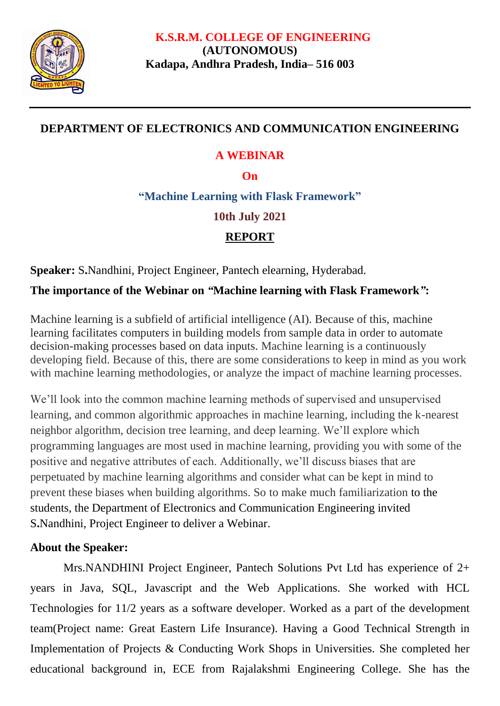

### **DEPARTMENT OF ELECTRONICS AND COMMUNICATION ENGINEERING**

### **A WEBINAR**

#### **On**

**"Machine Learning with Flask Framework"**

### **10th July 2021**

# **REPORT**

**Speaker:** S**.**Nandhini, Project Engineer, Pantech elearning, Hyderabad.

# **The importance of the Webinar on** *"***Machine learning with Flask Framework***"***:**

Machine learning is a subfield of artificial intelligence (AI). Because of this, machine learning facilitates computers in building models from sample data in order to automate decision-making processes based on data inputs. Machine learning is a continuously developing field. Because of this, there are some considerations to keep in mind as you work with machine learning methodologies, or analyze the impact of machine learning processes.

We'll look into the common machine learning methods of supervised and unsupervised learning, and common algorithmic approaches in machine learning, including the k-nearest neighbor algorithm, decision tree learning, and deep learning. We'll explore which programming languages are most used in machine learning, providing you with some of the positive and negative attributes of each. Additionally, we'll discuss biases that are perpetuated by machine learning algorithms and consider what can be kept in mind to prevent these biases when building algorithms. So to make much familiarization to the students, the Department of Electronics and Communication Engineering invited S**.**Nandhini, Project Engineer to deliver a Webinar.

## **About the Speaker:**

Mrs.NANDHINI Project Engineer, Pantech Solutions Pvt Ltd has experience of 2+ years in Java, SQL, Javascript and the Web Applications. She worked with HCL Technologies for 11/2 years as a software developer. Worked as a part of the development team(Project name: Great Eastern Life Insurance). Having a Good Technical Strength in Implementation of Projects & Conducting Work Shops in Universities. She completed her educational background in, ECE from Rajalakshmi Engineering College. She has the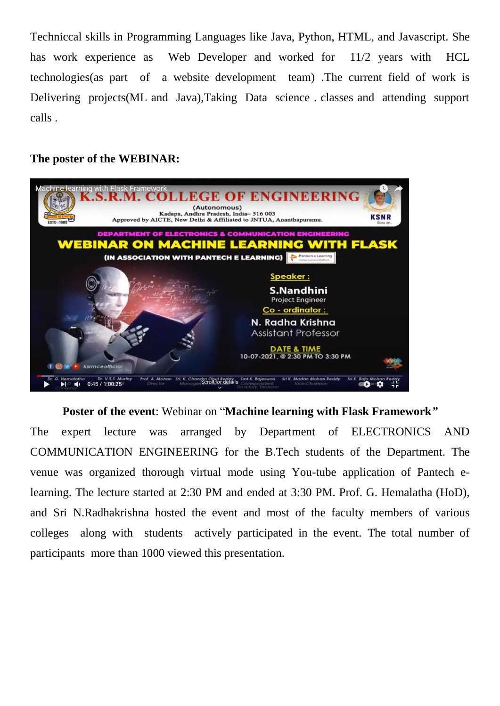Techniccal skills in Programming Languages like Java, Python, HTML, and Javascript. She has work experience as Web Developer and worked for 11/2 years with HCL technologies(as part of a website development team) .The current field of work is Delivering projects(ML and Java),Taking Data science . classes and attending support calls .

#### **The poster of the WEBINAR:**



**Poster of the event**: Webinar on "**Machine learning with Flask Framework***"*

The expert lecture was arranged by Department of ELECTRONICS AND COMMUNICATION ENGINEERING for the B.Tech students of the Department. The venue was organized thorough virtual mode using You-tube application of Pantech elearning. The lecture started at 2:30 PM and ended at 3:30 PM. Prof. G. Hemalatha (HoD), and Sri N.Radhakrishna hosted the event and most of the faculty members of various colleges along with students actively participated in the event. The total number of participants more than 1000 viewed this presentation.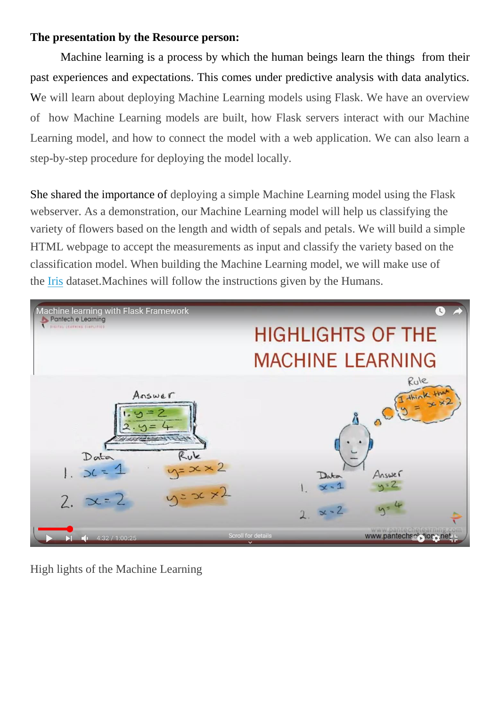#### **The presentation by the Resource person:**

Machine learning is a process by which the human beings learn the things from their past experiences and expectations. This comes under predictive analysis with data analytics. We will learn about deploying Machine Learning models using Flask. We have an overview of how Machine Learning models are built, how Flask servers interact with our Machine Learning model, and how to connect the model with a web application. We can also learn a step-by-step procedure for deploying the model locally.

She shared the importance of deploying a simple Machine Learning model using the Flask webserver. As a demonstration, our Machine Learning model will help us classifying the variety of flowers based on the length and width of sepals and petals. We will build a simple HTML webpage to accept the measurements as input and classify the variety based on the classification model. When building the Machine Learning model, we will make use of the [Iris](https://gist.github.com/netj/8836201) dataset. Machines will follow the instructions given by the Humans.



High lights of the Machine Learning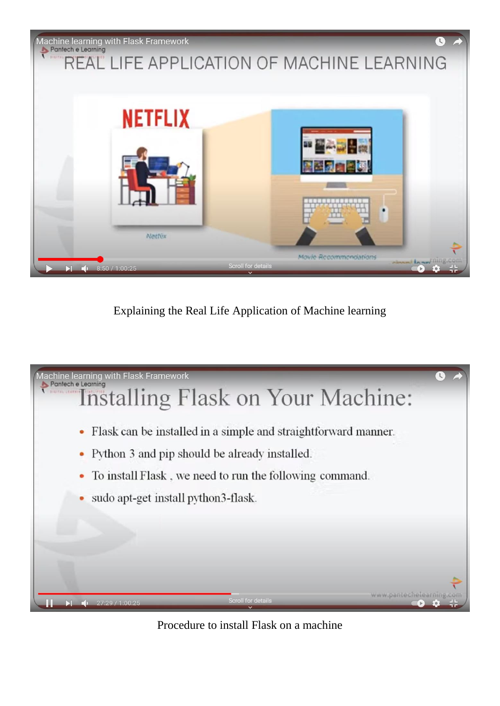

Explaining the Real Life Application of Machine learning



Procedure to install Flask on a machine